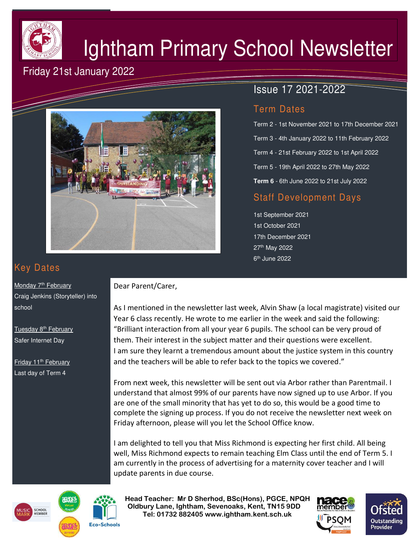

# Ightham Primary School Newsletter

## Friday 21st January 2022



## Issue 17 2021-2022

### Term Dates

Term 2 - 1st November 2021 to 17th December 2021 Term 3 - 4th January 2022 to 11th February 2022 Term 4 - 21st February 2022 to 1st April 2022 Term 5 - 19th April 2022 to 27th May 2022 **Term 6** - 6th June 2022 to 21st July 2022

## Staff Development Days

1st September 2021 1st October 2021 17th December 2021 27th May 2022 6<sup>th</sup> June 2022

# Key Dates

Monday 7<sup>th</sup> February Craig Jenkins (Storyteller) into school

Tuesday 8<sup>th</sup> February Safer Internet Day

Friday 11<sup>th</sup> February Last day of Term 4

#### Dear Parent/Carer,

As I mentioned in the newsletter last week, Alvin Shaw (a local magistrate) visited our Year 6 class recently. He wrote to me earlier in the week and said the following: "Brilliant interaction from all your year 6 pupils. The school can be very proud of them. Their interest in the subject matter and their questions were excellent. I am sure they learnt a tremendous amount about the justice system in this country and the teachers will be able to refer back to the topics we covered."

From next week, this newsletter will be sent out via Arbor rather than Parentmail. I understand that almost 99% of our parents have now signed up to use Arbor. If you are one of the small minority that has yet to do so, this would be a good time to complete the signing up process. If you do not receive the newsletter next week on Friday afternoon, please will you let the School Office know.

I am delighted to tell you that Miss Richmond is expecting her first child. All being well, Miss Richmond expects to remain teaching Elm Class until the end of Term 5. I am currently in the process of advertising for a maternity cover teacher and I will update parents in due course.





 **Head Teacher: Mr D Sherhod, BSc(Hons), PGCE, NPQH Oldbury Lane, Ightham, Sevenoaks, Kent, TN15 9DD** EXERIGING THE **TELE: 01732 882405 www.ightham.kent.sch.uk**<br>Tel: 01732 882405 www.ightham.kent.sch.uk

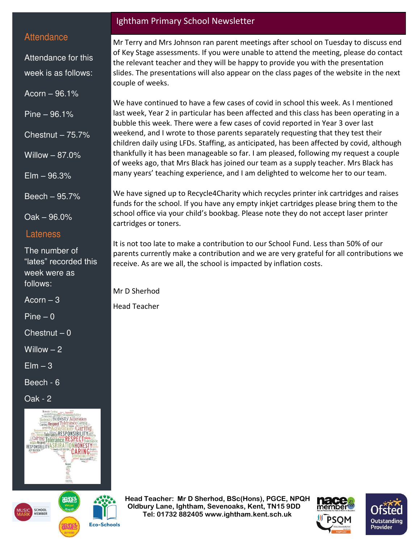#### **Attendance**

Attendance for this week is as follows:

Acorn – 96.1%

Pine – 96.1%

Chestnut  $-75.7%$ 

 $E$ lm  $-96.3%$ 

Willow – 87.0%

Beech – 95.7%

Oak – 96.0%

#### Lateness

The number of "lates" recorded this week were as follows:

Acorn  $-3$ 

 $Pine - 0$ 

 $Chestnut - 0$ 

Willow  $-2$ 

 $E$ lm  $-3$ 

Beech - 6

Oak - 2





**Eco-Schools** 

#### Ightham Primary School Newsletter

Mr Terry and Mrs Johnson ran parent meetings after school on Tuesday to discuss end of Key Stage assessments. If you were unable to attend the meeting, please do contact the relevant teacher and they will be happy to provide you with the presentation slides. The presentations will also appear on the class pages of the website in the next couple of weeks.

We have continued to have a few cases of covid in school this week. As I mentioned last week, Year 2 in particular has been affected and this class has been operating in a bubble this week. There were a few cases of covid reported in Year 3 over last weekend, and I wrote to those parents separately requesting that they test their children daily using LFDs. Staffing, as anticipated, has been affected by covid, although thankfully it has been manageable so far. I am pleased, following my request a couple of weeks ago, that Mrs Black has joined our team as a supply teacher. Mrs Black has many years' teaching experience, and I am delighted to welcome her to our team.

We have signed up to Recycle4Charity which recycles printer ink cartridges and raises funds for the school. If you have any empty inkjet cartridges please bring them to the school office via your child's bookbag. Please note they do not accept laser printer cartridges or toners.

It is not too late to make a contribution to our School Fund. Less than 50% of our parents currently make a contribution and we are very grateful for all contributions we receive. As are we all, the school is impacted by inflation costs.

Mr D Sherhod

Head Teacher